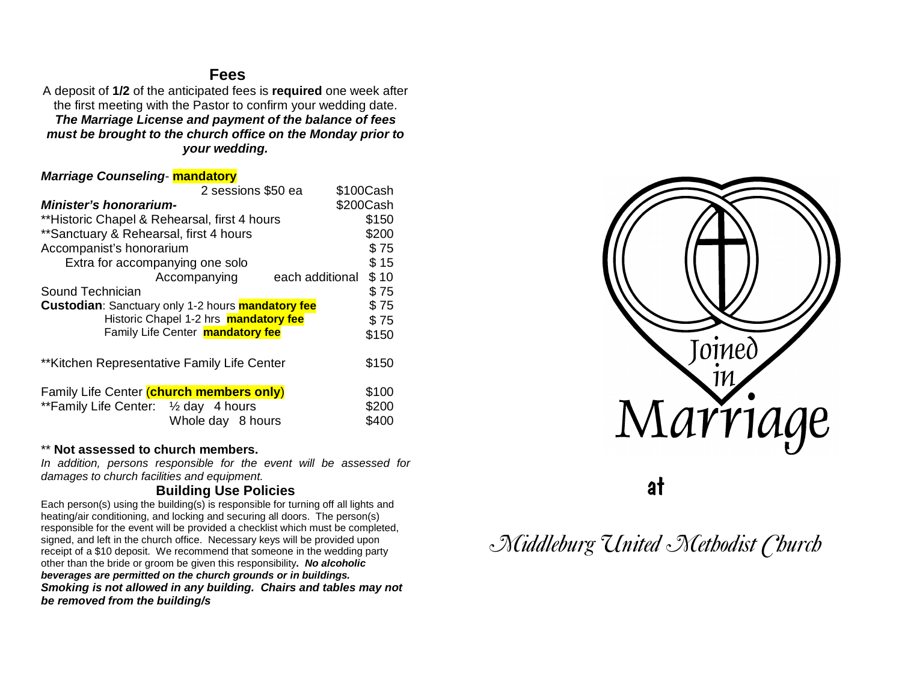## **Fees**

A deposit of **1/2** of the anticipated fees is **required** one week after the first meeting with the Pastor to confirm your wedding date. *The Marriage License and payment of the balance of fees must be brought to the church office on the Monday prior to your wedding.*

### *Marriage Counseling*- **mandatory**

| 2 sessions \$50 ea                                              | \$100Cash |
|-----------------------------------------------------------------|-----------|
| <b>Minister's honorarium-</b>                                   | \$200Cash |
| **Historic Chapel & Rehearsal, first 4 hours                    | \$150     |
| ** Sanctuary & Rehearsal, first 4 hours                         | \$200     |
| Accompanist's honorarium                                        | \$75      |
| Extra for accompanying one solo                                 | \$15      |
| Accompanying<br>each additional                                 | \$10      |
| Sound Technician                                                | \$75      |
| <b>Custodian:</b> Sanctuary only 1-2 hours <b>mandatory fee</b> | \$75      |
| Historic Chapel 1-2 hrs <b>mandatory fee</b>                    | \$75      |
| Family Life Center <b>mandatory fee</b>                         | \$150     |
|                                                                 |           |
| **Kitchen Representative Family Life Center                     | \$150     |
|                                                                 |           |
| Family Life Center (church members only)                        | \$100     |
| **Family Life Center: 1/2 day 4 hours                           | \$200     |
| Whole day 8 hours                                               | \$400     |

### \*\* **Not assessed to church members.**

*In addition, persons responsible for the event will be assessed for damages to church facilities and equipment.*

## **Building Use Policies**

Each person(s) using the building(s) is responsible for turning off all lights and heating/air conditioning, and locking and securing all doors. The person(s) responsible for the event will be provided a checklist which must be completed, signed, and left in the church office. Necessary keys will be provided upon receipt of a \$10 deposit. We recommend that someone in the wedding party other than the bride or groom be given this responsibility**.** *No alcoholic beverages are permitted on the church grounds or in buildings. Smoking is not allowed in any building. Chairs and tables may not be removed from the building/s*



at

# *Middleburg United Methodist Church*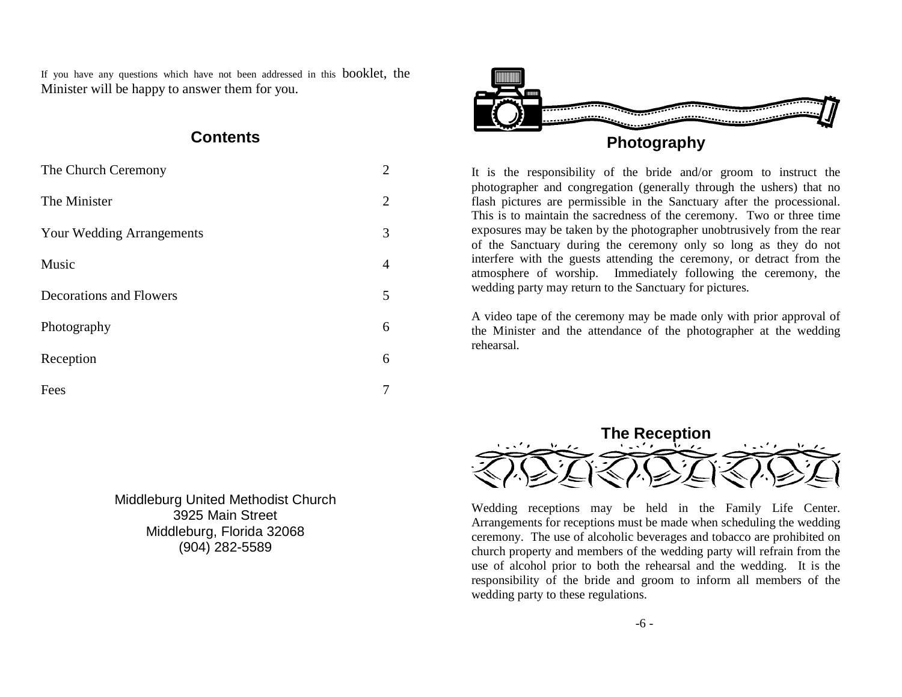If you have any questions which have not been addressed in this booklet, the Minister will be happy to answer them for you.

## **Contents**

| The Church Ceremony              | $\overline{2}$ |
|----------------------------------|----------------|
| The Minister                     | 2              |
| <b>Your Wedding Arrangements</b> | 3              |
| Music                            | 4              |
| <b>Decorations and Flowers</b>   | 5              |
| Photography                      | 6              |
| Reception                        | 6              |
| Fees                             |                |

Middleburg United Methodist Church 3925 Main Street Middleburg, Florida 32068 (904) 282-5589



# **Photography**

It is the responsibility of the bride and/or groom to instruct the photographer and congregation (generally through the ushers) that no flash pictures are permissible in the Sanctuary after the processional. This is to maintain the sacredness of the ceremony. Two or three time exposures may be taken by the photographer unobtrusively from the rear of the Sanctuary during the ceremony only so long as they do not interfere with the guests attending the ceremony, or detract from the atmosphere of worship. Immediately following the ceremony, the wedding party may return to the Sanctuary for pictures.

A video tape of the ceremony may be made only with prior approval of the Minister and the attendance of the photographer at the wedding rehearsal.



Wedding receptions may be held in the Family Life Center. Arrangements for receptions must be made when scheduling the wedding ceremony. The use of alcoholic beverages and tobacco are prohibited on church property and members of the wedding party will refrain from the use of alcohol prior to both the rehearsal and the wedding. It is the responsibility of the bride and groom to inform all members of the wedding party to these regulations.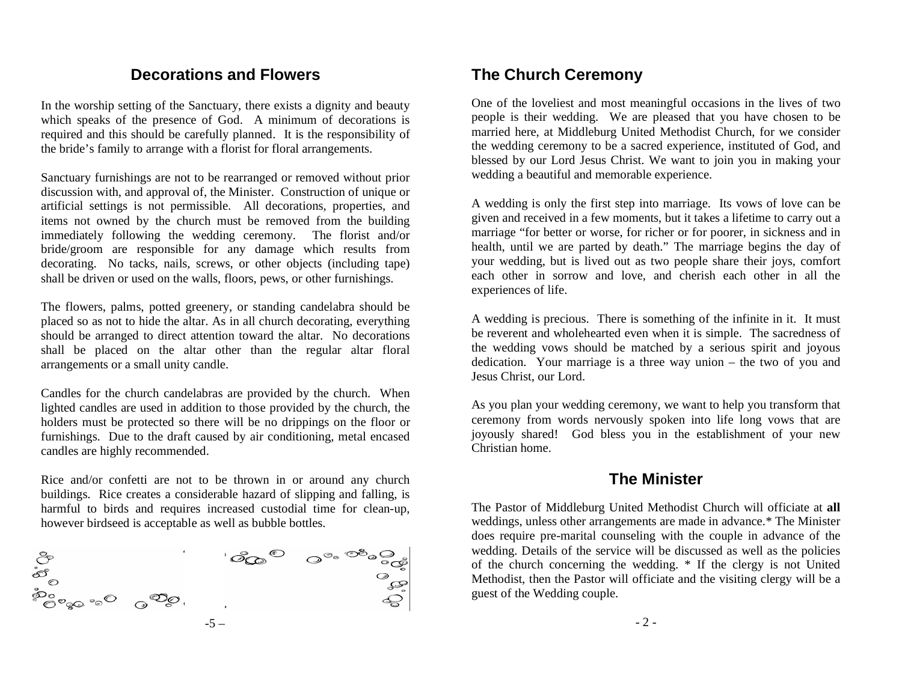# **Decorations and Flowers**

In the worship setting of the Sanctuary, there exists a dignity and beauty which speaks of the presence of God. A minimum of decorations is required and this should be carefully planned. It is the responsibility of the bride's family to arrange with a florist for floral arrangements.

Sanctuary furnishings are not to be rearranged or removed without prior discussion with, and approval of, the Minister. Construction of unique or artificial settings is not permissible. All decorations, properties, and items not owned by the church must be removed from the building immediately following the wedding ceremony. The florist and/or bride/groom are responsible for any damage which results from decorating. No tacks, nails, screws, or other objects (including tape) shall be driven or used on the walls, floors, pews, or other furnishings.

The flowers, palms, potted greenery, or standing candelabra should be placed so as not to hide the altar. As in all church decorating, everything should be arranged to direct attention toward the altar. No decorations shall be placed on the altar other than the regular altar floral arrangements or a small unity candle.

Candles for the church candelabras are provided by the church. When lighted candles are used in addition to those provided by the church, the holders must be protected so there will be no drippings on the floor or furnishings. Due to the draft caused by air conditioning, metal encased candles are highly recommended.

Rice and/or confetti are not to be thrown in or around any church buildings. Rice creates a considerable hazard of slipping and falling, is harmful to birds and requires increased custodial time for clean-up, however birdseed is acceptable as well as bubble bottles.



# **The Church Ceremony**

One of the loveliest and most meaningful occasions in the lives of two people is their wedding. We are pleased that you have chosen to be married here, at Middleburg United Methodist Church, for we consider the wedding ceremony to be a sacred experience, instituted of God, and blessed by our Lord Jesus Christ. We want to join you in making your wedding a beautiful and memorable experience.

A wedding is only the first step into marriage. Its vows of love can be given and received in a few moments, but it takes a lifetime to carry out a marriage "for better or worse, for richer or for poorer, in sickness and in health, until we are parted by death." The marriage begins the day of your wedding, but is lived out as two people share their joys, comfort each other in sorrow and love, and cherish each other in all the experiences of life.

A wedding is precious. There is something of the infinite in it. It must be reverent and wholehearted even when it is simple. The sacredness of the wedding vows should be matched by a serious spirit and joyous dedication. Your marriage is a three way union – the two of you and Jesus Christ, our Lord.

As you plan your wedding ceremony, we want to help you transform that ceremony from words nervously spoken into life long vows that are joyously shared! God bless you in the establishment of your new Christian home.

# **The Minister**

The Pastor of Middleburg United Methodist Church will officiate at **all**  weddings, unless other arrangements are made in advance.\* The Minister does require pre-marital counseling with the couple in advance of the wedding. Details of the service will be discussed as well as the policies of the church concerning the wedding. \* If the clergy is not United Methodist, then the Pastor will officiate and the visiting clergy will be a guest of the Wedding couple.